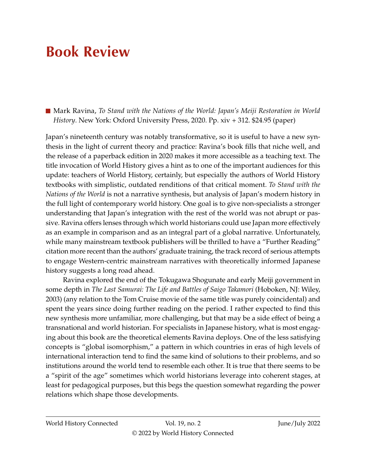## **Book Review**

■ Mark Ravina, *To Stand with the Nations of the World: Japan's Meiji Restoration in World History*. New York: Oxford University Press, 2020. Pp. xiv + 312. \$24.95 (paper)

Japan's nineteenth century was notably transformative, so it is useful to have a new synthesis in the light of current theory and practice: Ravina's book fills that niche well, and the release of a paperback edition in 2020 makes it more accessible as a teaching text. The title invocation of World History gives a hint as to one of the important audiences for this update: teachers of World History, certainly, but especially the authors of World History textbooks with simplistic, outdated renditions of that critical moment. *To Stand with the Nations of the World* is not a narrative synthesis, but analysis of Japan's modern history in the full light of contemporary world history. One goal is to give non-specialists a stronger understanding that Japan's integration with the rest of the world was not abrupt or passive. Ravina offers lenses through which world historians could use Japan more effectively as an example in comparison and as an integral part of a global narrative. Unfortunately, while many mainstream textbook publishers will be thrilled to have a "Further Reading" citation more recent than the authors' graduate training, the track record of serious attempts to engage Western-centric mainstream narratives with theoretically informed Japanese history suggests a long road ahead.

Ravina explored the end of the Tokugawa Shogunate and early Meiji government in some depth in *The Last Samurai: The Life and Battles of Saigo Takamori* (Hoboken, NJ: Wiley, 2003) (any relation to the Tom Cruise movie of the same title was purely coincidental) and spent the years since doing further reading on the period. I rather expected to find this new synthesis more unfamiliar, more challenging, but that may be a side effect of being a transnational and world historian. For specialists in Japanese history, what is most engaging about this book are the theoretical elements Ravina deploys. One of the less satisfying concepts is "global isomorphism," a pattern in which countries in eras of high levels of international interaction tend to find the same kind of solutions to their problems, and so institutions around the world tend to resemble each other. It is true that there seems to be a "spirit of the age" sometimes which world historians leverage into coherent stages, at least for pedagogical purposes, but this begs the question somewhat regarding the power relations which shape those developments.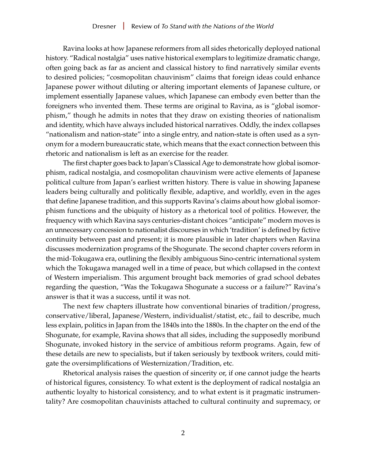Ravina looks at how Japanese reformers from all sides rhetorically deployed national history. "Radical nostalgia" uses native historical exemplars to legitimize dramatic change, often going back as far as ancient and classical history to find narratively similar events to desired policies; "cosmopolitan chauvinism" claims that foreign ideas could enhance Japanese power without diluting or altering important elements of Japanese culture, or implement essentially Japanese values, which Japanese can embody even better than the foreigners who invented them. These terms are original to Ravina, as is "global isomorphism," though he admits in notes that they draw on existing theories of nationalism and identity, which have always included historical narratives. Oddly, the index collapses "nationalism and nation-state" into a single entry, and nation-state is often used as a synonym for a modern bureaucratic state, which means that the exact connection between this rhetoric and nationalism is left as an exercise for the reader.

The first chapter goes back to Japan's Classical Age to demonstrate how global isomorphism, radical nostalgia, and cosmopolitan chauvinism were active elements of Japanese political culture from Japan's earliest written history. There is value in showing Japanese leaders being culturally and politically flexible, adaptive, and worldly, even in the ages that define Japanese tradition, and this supports Ravina's claims about how global isomorphism functions and the ubiquity of history as a rhetorical tool of politics. However, the frequency with which Ravina says centuries-distant choices "anticipate" modern moves is an unnecessary concession to nationalist discourses in which 'tradition' is defined by fictive continuity between past and present; it is more plausible in later chapters when Ravina discusses modernization programs of the Shogunate. The second chapter covers reform in the mid-Tokugawa era, outlining the flexibly ambiguous Sino-centric international system which the Tokugawa managed well in a time of peace, but which collapsed in the context of Western imperialism. This argument brought back memories of grad school debates regarding the question, "Was the Tokugawa Shogunate a success or a failure?" Ravina's answer is that it was a success, until it was not.

The next few chapters illustrate how conventional binaries of tradition/progress, conservative/liberal, Japanese/Western, individualist/statist, etc., fail to describe, much less explain, politics in Japan from the 1840s into the 1880s. In the chapter on the end of the Shogunate, for example, Ravina shows that all sides, including the supposedly moribund Shogunate, invoked history in the service of ambitious reform programs. Again, few of these details are new to specialists, but if taken seriously by textbook writers, could mitigate the oversimplifications of Westernization/Tradition, etc.

Rhetorical analysis raises the question of sincerity or, if one cannot judge the hearts of historical figures, consistency. To what extent is the deployment of radical nostalgia an authentic loyalty to historical consistency, and to what extent is it pragmatic instrumentality? Are cosmopolitan chauvinists attached to cultural continuity and supremacy, or